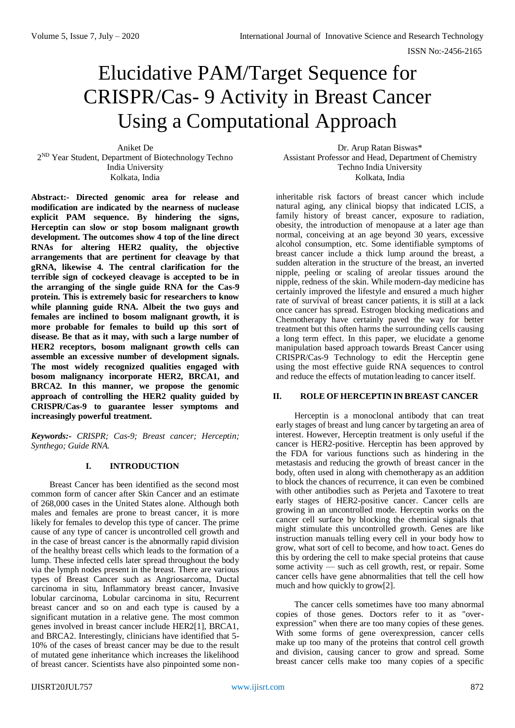# Elucidative PAM/Target Sequence for CRISPR/Cas- 9 Activity in Breast Cancer Using a Computational Approach

Aniket De 2<sup>ND</sup> Year Student, Department of Biotechnology Techno India University Kolkata, India

**Abstract:- Directed genomic area for release and modification are indicated by the nearness of nuclease explicit PAM sequence. By hindering the signs, Herceptin can slow or stop bosom malignant growth development. The outcomes show 4 top of the line direct RNAs for altering HER2 quality, the objective arrangements that are pertinent for cleavage by that gRNA, likewise 4. The central clarification for the terrible sign of cockeyed cleavage is accepted to be in the arranging of the single guide RNA for the Cas-9 protein. This is extremely basic for researchers to know while planning guide RNA. Albeit the two guys and females are inclined to bosom malignant growth, it is more probable for females to build up this sort of disease. Be that as it may, with such a large number of HER2 receptors, bosom malignant growth cells can assemble an excessive number of development signals. The most widely recognized qualities engaged with bosom malignancy incorporate HER2, BRCA1, and BRCA2. In this manner, we propose the genomic approach of controlling the HER2 quality guided by CRISPR/Cas-9 to guarantee lesser symptoms and increasingly powerful treatment.**

*Keywords:- CRISPR; Cas-9; Breast cancer; Herceptin; Synthego; Guide RNA.*

### **I. INTRODUCTION**

Breast Cancer has been identified as the second most common form of cancer after Skin Cancer and an estimate of 268,000 cases in the United States alone. Although both males and females are prone to breast cancer, it is more likely for females to develop this type of cancer. The prime cause of any type of cancer is uncontrolled cell growth and in the case of breast cancer is the abnormally rapid division of the healthy breast cells which leads to the formation of a lump. These infected cells later spread throughout the body via the lymph nodes present in the breast. There are various types of Breast Cancer such as Angriosarcoma, Ductal carcinoma in situ, Inflammatory breast cancer, Invasive lobular carcinoma, Lobular carcinoma in situ, Recurrent breast cancer and so on and each type is caused by a significant mutation in a relative gene. The most common genes involved in breast cancer include HER2[1], BRCA1, and BRCA2. Interestingly, clinicians have identified that 5- 10% of the cases of breast cancer may be due to the result of mutated gene inheritance which increases the likelihood of breast cancer. Scientists have also pinpointed some non-

Dr. Arup Ratan Biswas\* Assistant Professor and Head, Department of Chemistry Techno India University Kolkata, India

inheritable risk factors of breast cancer which include natural aging, any clinical biopsy that indicated LCIS, a family history of breast cancer, exposure to radiation, obesity, the introduction of menopause at a later age than normal, conceiving at an age beyond 30 years, excessive alcohol consumption, etc. Some identifiable symptoms of breast cancer include a thick lump around the breast, a sudden alteration in the structure of the breast, an inverted nipple, peeling or scaling of areolar tissues around the nipple, redness of the skin. While modern-day medicine has certainly improved the lifestyle and ensured a much higher rate of survival of breast cancer patients, it is still at a lack once cancer has spread. Estrogen blocking medications and Chemotherapy have certainly paved the way for better treatment but this often harms the surrounding cells causing a long term effect. In this paper, we elucidate a genome manipulation based approach towards Breast Cancer using CRISPR/Cas-9 Technology to edit the Herceptin gene using the most effective guide RNA sequences to control and reduce the effects of mutation leading to cancer itself.

#### **II. ROLE OF HERCEPTIN IN BREAST CANCER**

Herceptin is a monoclonal antibody that can treat early stages of breast and lung cancer by targeting an area of interest. However, Herceptin treatment is only useful if the cancer is HER2-positive. Herceptin has been approved by the FDA for various functions such as hindering in the metastasis and reducing the growth of breast cancer in the body, often used in along with chemotherapy as an addition to block the chances of recurrence, it can even be combined with other antibodies such as Perjeta and Taxotere to treat early stages of HER2-positive cancer. Cancer cells are growing in an uncontrolled mode. Herceptin works on the cancer cell surface by blocking the chemical signals that might stimulate this uncontrolled growth. Genes are like instruction manuals telling every cell in your body how to grow, what sort of cell to become, and how toact. Genes do this by ordering the cell to make special proteins that cause some activity — such as cell growth, rest, or repair. Some cancer cells have gene abnormalities that tell the cell how much and how quickly to grow[2].

The cancer cells sometimes have too many abnormal copies of those genes. Doctors refer to it as "overexpression" when there are too many copies of these genes. With some forms of gene overexpression, cancer cells make up too many of the proteins that control cell growth and division, causing cancer to grow and spread. Some breast cancer cells make too many copies of a specific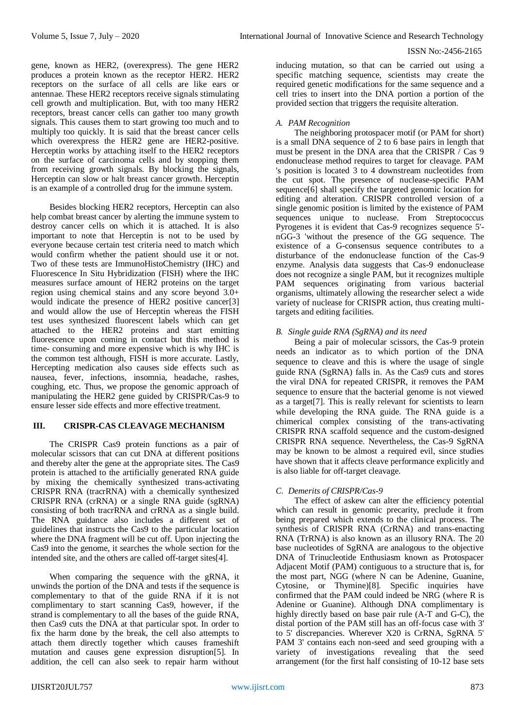gene, known as HER2, (overexpress). The gene HER2 produces a protein known as the receptor HER2. HER2 receptors on the surface of all cells are like ears or antennae. These HER2 receptors receive signals stimulating cell growth and multiplication. But, with too many HER2 receptors, breast cancer cells can gather too many growth signals. This causes them to start growing too much and to multiply too quickly. It is said that the breast cancer cells which overexpress the HER2 gene are HER2-positive. Herceptin works by attaching itself to the HER2 receptors on the surface of carcinoma cells and by stopping them from receiving growth signals. By blocking the signals, Herceptin can slow or halt breast cancer growth. Herceptin is an example of a controlled drug for the immune system.

Besides blocking HER2 receptors, Herceptin can also help combat breast cancer by alerting the immune system to destroy cancer cells on which it is attached. It is also important to note that Herceptin is not to be used by everyone because certain test criteria need to match which would confirm whether the patient should use it or not. Two of these tests are ImmunoHistoChemistry (IHC) and Fluorescence In Situ Hybridization (FISH) where the IHC measures surface amount of HER2 proteins on the target region using chemical stains and any score beyond 3.0+ would indicate the presence of HER2 positive cancer[3] and would allow the use of Herceptin whereas the FISH test uses synthesized fluorescent labels which can get attached to the HER2 proteins and start emitting fluorescence upon coming in contact but this method is time- consuming and more expensive which is why IHC is the common test although, FISH is more accurate. Lastly, Hercepting medication also causes side effects such as nausea, fever, infections, insomnia, headache, rashes, coughing, etc. Thus, we propose the genomic approach of manipulating the HER2 gene guided by CRISPR/Cas-9 to ensure lesser side effects and more effective treatment.

# **III. CRISPR-CAS CLEAVAGE MECHANISM**

The CRISPR Cas9 protein functions as a pair of molecular scissors that can cut DNA at different positions and thereby alter the gene at the appropriate sites. The Cas9 protein is attached to the artificially generated RNA guide by mixing the chemically synthesized trans-activating CRISPR RNA (tracrRNA) with a chemically synthesized CRISPR RNA (crRNA) or a single RNA guide (sgRNA) consisting of both tracrRNA and crRNA as a single build. The RNA guidance also includes a different set of guidelines that instructs the Cas9 to the particular location where the DNA fragment will be cut off. Upon injecting the Cas9 into the genome, it searches the whole section for the intended site, and the others are called off-target sites[4].

When comparing the sequence with the gRNA, it unwinds the portion of the DNA and tests if the sequence is complementary to that of the guide RNA if it is not complimentary to start scanning Cas9, however, if the strand is complementary to all the bases of the guide RNA, then Cas9 cuts the DNA at that particular spot. In order to fix the harm done by the break, the cell also attempts to attach them directly together which causes frameshift mutation and causes gene expression disruption[5]. In addition, the cell can also seek to repair harm without

inducing mutation, so that can be carried out using a specific matching sequence, scientists may create the required genetic modifications for the same sequence and a cell tries to insert into the DNA portion a portion of the provided section that triggers the requisite alteration.

## *A. PAM Recognition*

The neighboring protospacer motif (or PAM for short) is a small DNA sequence of 2 to 6 base pairs in length that must be present in the DNA area that the CRISPR / Cas 9 endonuclease method requires to target for cleavage. PAM 's position is located 3 to 4 downstream nucleotides from the cut spot. The presence of nuclease-specific PAM sequence[6] shall specify the targeted genomic location for editing and alteration. CRISPR controlled version of a single genomic position is limited by the existence of PAM sequences unique to nuclease. From Streptococcus Pyrogenes it is evident that Cas-9 recognizes sequence 5' nGG-3 'without the presence of the GG sequence. The existence of a G-consensus sequence contributes to a disturbance of the endonuclease function of the Cas-9 enzyme. Analysis data suggests that Cas-9 endonuclease does not recognize a single PAM, but it recognizes multiple PAM sequences originating from various bacterial organisms, ultimately allowing the researcher select a wide variety of nuclease for CRISPR action, thus creating multitargets and editing facilities.

## *B. Single guide RNA (SgRNA) and its need*

Being a pair of molecular scissors, the Cas-9 protein needs an indicator as to which portion of the DNA sequence to cleave and this is where the usage of single guide RNA (SgRNA) falls in. As the Cas9 cuts and stores the viral DNA for repeated CRISPR, it removes the PAM sequence to ensure that the bacterial genome is not viewed as a target[7]. This is really relevant for scientists to learn while developing the RNA guide. The RNA guide is a chimerical complex consisting of the trans-activating CRISPR RNA scaffold sequence and the custom-designed CRISPR RNA sequence. Nevertheless, the Cas-9 SgRNA may be known to be almost a required evil, since studies have shown that it affects cleave performance explicitly and is also liable for off-target cleavage.

# *C. Demerits of CRISPR/Cas-9*

The effect of askew can alter the efficiency potential which can result in genomic precarity, preclude it from being prepared which extends to the clinical process. The synthesis of CRISPR RNA (CrRNA) and trans-enacting RNA (TrRNA) is also known as an illusory RNA. The 20 base nucleotides of SgRNA are analogous to the objective DNA of Trinucleotide Enthusiasm known as Protospacer Adjacent Motif (PAM) contiguous to a structure that is, for the most part, NGG (where N can be Adenine, Guanine, Cytosine, or Thymine)[8]. Specific inquiries have confirmed that the PAM could indeed be NRG (where R is Adenine or Guanine). Although DNA complimentary is highly directly based on base pair rule (A-T and G-C), the distal portion of the PAM still has an off-focus case with 3' to 5' discrepancies. Wherever X20 is CrRNA, SgRNA 5' PAM 3' contains each non-seed and seed grouping with a variety of investigations revealing that the seed arrangement (for the first half consisting of 10-12 base sets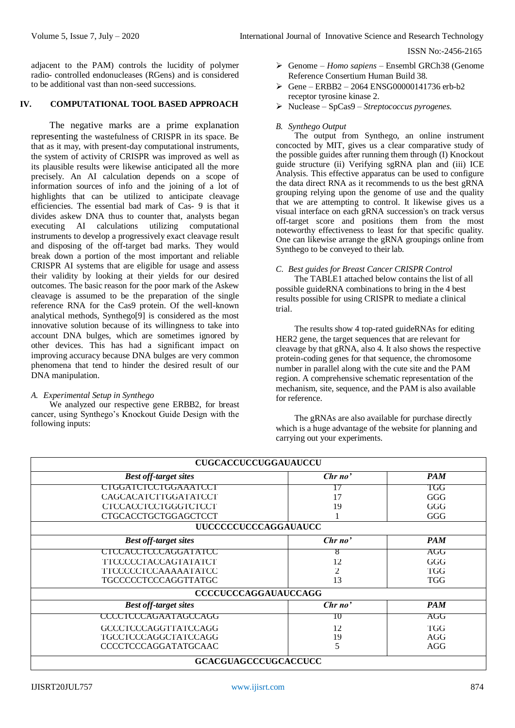adjacent to the PAM) controls the lucidity of polymer radio- controlled endonucleases (RGens) and is considered to be additional vast than non-seed successions.

## **IV. COMPUTATIONAL TOOL BASED APPROACH**

The negative marks are a prime explanation representing the wastefulness of CRISPR in its space. Be that as it may, with present-day computational instruments, the system of activity of CRISPR was improved as well as its plausible results were likewise anticipated all the more precisely. An AI calculation depends on a scope of information sources of info and the joining of a lot of highlights that can be utilized to anticipate cleavage efficiencies. The essential bad mark of Cas- 9 is that it divides askew DNA thus to counter that, analysts began executing AI calculations utilizing computational instruments to develop a progressively exact cleavage result and disposing of the off-target bad marks. They would break down a portion of the most important and reliable CRISPR AI systems that are eligible for usage and assess their validity by looking at their yields for our desired outcomes. The basic reason for the poor mark of the Askew cleavage is assumed to be the preparation of the single reference RNA for the Cas9 protein. Of the well-known analytical methods, Synthego[9] is considered as the most innovative solution because of its willingness to take into account DNA bulges, which are sometimes ignored by other devices. This has had a significant impact on improving accuracy because DNA bulges are very common phenomena that tend to hinder the desired result of our DNA manipulation.

# *A. Experimental Setup in Synthego*

We analyzed our respective gene ERBB2, for breast cancer, using Synthego's Knockout Guide Design with the following inputs:

- Genome *– Homo sapiens –* Ensembl GRCh38 (Genome Reference Consertium Human Build 38.
- $\triangleright$  Gene ERBB2 2064 ENSG00000141736 erb-b2 receptor tyrosine kinase 2.
- Nuclease SpCas9 *Streptococcus pyrogenes.*

### *B. Synthego Output*

The output from Synthego, an online instrument concocted by MIT, gives us a clear comparative study of the possible guides after running them through (I) Knockout guide structure (ii) Verifying sgRNA plan and (iii) ICE Analysis. This effective apparatus can be used to configure the data direct RNA as it recommends to us the best gRNA grouping relying upon the genome of use and the quality that we are attempting to control. It likewise gives us a visual interface on each gRNA succession's on track versus off-target score and positions them from the most noteworthy effectiveness to least for that specific quality. One can likewise arrange the gRNA groupings online from Synthego to be conveyed to their lab.

#### *C. Best guides for Breast Cancer CRISPR Control*

The TABLE1 attached below contains the list of all possible guideRNA combinations to bring in the 4 best results possible for using CRISPR to mediate a clinical trial.

The results show 4 top-rated guideRNAs for editing HER2 gene, the target sequences that are relevant for cleavage by that gRNA, also 4. It also shows the respective protein-coding genes for that sequence, the chromosome number in parallel along with the cute site and the PAM region. A comprehensive schematic representation of the mechanism, site, sequence, and the PAM is also available for reference.

The gRNAs are also available for purchase directly which is a huge advantage of the website for planning and carrying out your experiments.

| <b>CUGCACCUCCUGGAUAUCCU</b>  |                |            |  |
|------------------------------|----------------|------------|--|
| <b>Best off-target sites</b> | Chrno'         | <b>PAM</b> |  |
| <b>CIGGATCICCIGGAAATCCI</b>  |                | TGG        |  |
| CAGCACATCTTGGATATCCT         | 17             | GGG        |  |
| <b>CTCCACCTCCTGGGTCTCCT</b>  | 19             | GGG        |  |
| <b>CTGCACCTGCTGGAGCTCCT</b>  |                | GGG        |  |
| <b>UUCCCCCUCCCAGGAUAUCC</b>  |                |            |  |
| <b>Best off-target sites</b> | Chrno'         | <b>PAM</b> |  |
| CTCCACCTCCCAGGATATCC         | ð              | AGG        |  |
| TTCCCCCTACCAGTATATCT         | 12             | GGG        |  |
| TTCCCCCTCCAAAAATATCC         | $\overline{2}$ | <b>TGG</b> |  |
| <b>TGCCCCCTCCCAGGTTATGC</b>  | 13             | <b>TGG</b> |  |
| <b>CCCCUCCCAGGAUAUCCAGG</b>  |                |            |  |
| <b>Best off-target sites</b> | Chrno'         | <b>PAM</b> |  |
| <b>CCCCTCCCAGAATAGCCAGG</b>  | 10             | AGG        |  |
| <b>GCCCTCCCAGGTTATCCAGG</b>  | 12             | TGG        |  |
| TGCCTCCCAGGCTATCCAGG         | 19             | AGG        |  |
| <b>CCCCTCCCAGGATATGCAAC</b>  | 5              | AGG        |  |
| <b>GCACGUAGCCCUGCACCUCC</b>  |                |            |  |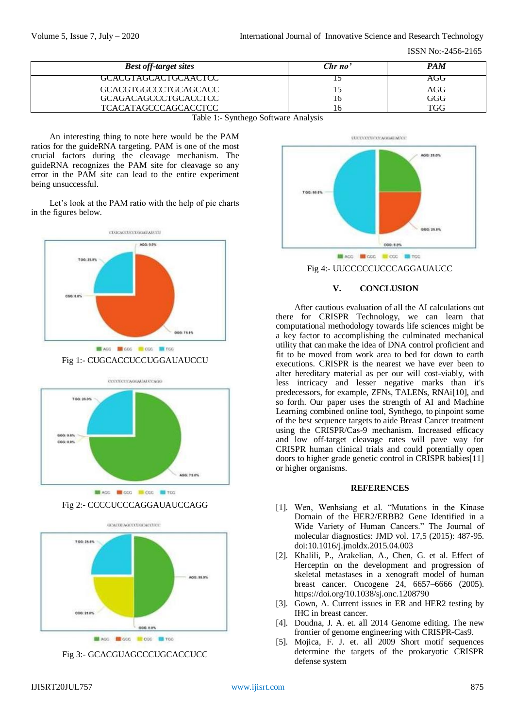| <b>Best off-target sites</b>         | Chrno' | <b>PAM</b> |
|--------------------------------------|--------|------------|
| GCACGTAGCACTGCAACTCC                 |        | AGG        |
| GCACGTGGCCCTGCAGCACC                 |        | AGG        |
| GCAGACAGCCCTGCACCTCC                 | 16     | GGG        |
| <b>TCACATAGCCCAGCACCTCC</b>          | Ιh     | TGG        |
| Table 1:- Synthego Software Analysis |        |            |

An interesting thing to note here would be the PAM ratios for the guideRNA targeting. PAM is one of the most crucial factors during the cleavage mechanism. The guideRNA recognizes the PAM site for cleavage so any error in the PAM site can lead to the entire experiment being unsuccessful.

Let's look at the PAM ratio with the help of pie charts in the figures below.



Fig 1:- CUGCACCUCCUGGAUAUCCU





Fig 2:- CCCCUCCCAGGAUAUCCAGG



Fig 3:- GCACGUAGCCCUGCACCUCC



Fig 4:- UUCCCCCUCCCAGGAUAUCC

### **V. CONCLUSION**

After cautious evaluation of all the AI calculations out there for CRISPR Technology, we can learn that computational methodology towards life sciences might be a key factor to accomplishing the culminated mechanical utility that can make the idea of DNA control proficient and fit to be moved from work area to bed for down to earth executions. CRISPR is the nearest we have ever been to alter hereditary material as per our will cost-viably, with less intricacy and lesser negative marks than it's predecessors, for example, ZFNs, TALENs, RNAi[10], and so forth. Our paper uses the strength of AI and Machine Learning combined online tool, Synthego, to pinpoint some of the best sequence targets to aide Breast Cancer treatment using the CRISPR/Cas-9 mechanism. Increased efficacy and low off-target cleavage rates will pave way for CRISPR human clinical trials and could potentially open doors to higher grade genetic control in CRISPR babies[11] or higher organisms.

#### **REFERENCES**

- [1]. Wen, Wenhsiang et al. "Mutations in the Kinase Domain of the HER2/ERBB2 Gene Identified in a Wide Variety of Human Cancers." The Journal of molecular diagnostics: JMD vol. 17,5 (2015): 487-95. doi:10.1016/j.jmoldx.2015.04.003
- [2]. Khalili, P., Arakelian, A., Chen, G. et al. Effect of Herceptin on the development and progression of skeletal metastases in a xenograft model of human breast cancer. Oncogene 24, 6657–6666 (2005[\).](https://doi.org/10.1038/sj.onc.1208790) <https://doi.org/10.1038/sj.onc.1208790>
- [3]. Gown, A. Current issues in ER and HER2 testing by IHC in breast cancer.
- [4]. Doudna, J. A. et. all 2014 Genome editing. The new frontier of genome engineering with CRISPR-Cas9.
- [5]. Mojica, F. J. et. all 2009 Short motif sequences determine the targets of the prokaryotic CRISPR defense system